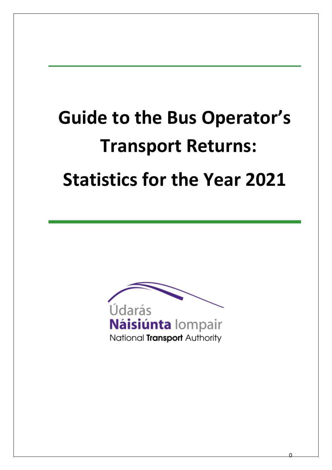# **Guide to the Bus Operator's Transport Returns: Statistics for the Year 2021**



0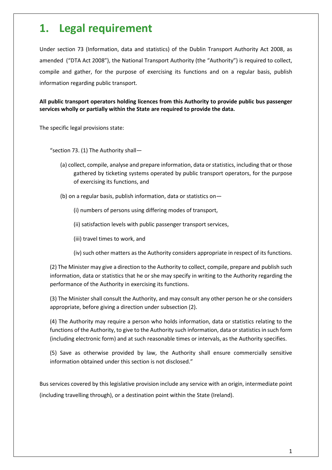# **1. Legal requirement**

Under section 73 (Information, data and statistics) of the Dublin Transport Authority Act 2008, as amended ("DTA Act 2008"), the National Transport Authority (the "Authority") is required to collect, compile and gather, for the purpose of exercising its functions and on a regular basis, publish information regarding public transport.

**All public transport operators holding licences from this Authority to provide public bus passenger services wholly or partially within the State are required to provide the data.**

The specific legal provisions state:

"section 73. (1) The Authority shall—

- (a) collect, compile, analyse and prepare information, data or statistics, including that or those gathered by ticketing systems operated by public transport operators, for the purpose of exercising its functions, and
- (b) on a regular basis, publish information, data or statistics on—
	- (i) numbers of persons using differing modes of transport,
	- (ii) satisfaction levels with public passenger transport services,
	- (iii) travel times to work, and
	- (iv) such other matters as the Authority considers appropriate in respect of its functions.

(2) The Minister may give a direction to the Authority to collect, compile, prepare and publish such information, data or statistics that he or she may specify in writing to the Authority regarding the performance of the Authority in exercising its functions.

(3) The Minister shall consult the Authority, and may consult any other person he or she considers appropriate, before giving a direction under subsection (2).

(4) The Authority may require a person who holds information, data or statistics relating to the functions of the Authority, to give to the Authority such information, data or statistics in such form (including electronic form) and at such reasonable times or intervals, as the Authority specifies.

(5) Save as otherwise provided by law, the Authority shall ensure commercially sensitive information obtained under this section is not disclosed."

Bus services covered by this legislative provision include any service with an origin, intermediate point (including travelling through), or a destination point within the State (Ireland).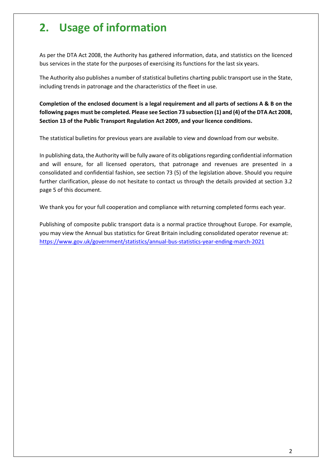# **2. Usage of information**

As per the DTA Act 2008, the Authority has gathered information, data, and statistics on the licenced bus services in the state for the purposes of exercising its functions for the last six years.

The Authority also publishes a number of statistical bulletins charting public transport use in the State, including trends in patronage and the characteristics of the fleet in use.

**Completion of the enclosed document is a legal requirement and all parts of sections A & B on the following pages must be completed. Please see Section 73 subsection (1) and (4) of the DTA Act 2008, Section 13 of the Public Transport Regulation Act 2009, and your licence conditions.** 

The statistical bulletins for previous years are available to view and download from our website.

In publishing data, the Authority will be fully aware of its obligations regarding confidential information and will ensure, for all licensed operators, that patronage and revenues are presented in a consolidated and confidential fashion, see section 73 (5) of the legislation above. Should you require further clarification, please do not hesitate to contact us through the details provided at section 3.2 page 5 of this document.

We thank you for your full cooperation and compliance with returning completed forms each year.

Publishing of composite public transport data is a normal practice throughout Europe. For example, you may view the Annual bus statistics for Great Britain including consolidated operator revenue at: <https://www.gov.uk/government/statistics/annual-bus-statistics-year-ending-march-2021>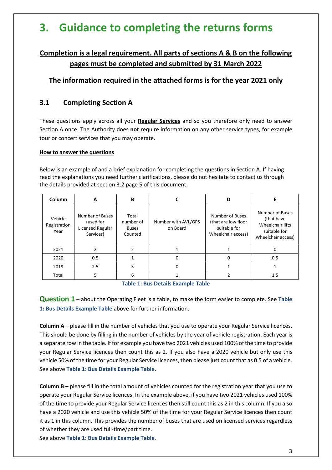# **3. Guidance to completing the returns forms**

# **Completion is a legal requirement. All parts of sections A & B on the following pages must be completed and submitted by 31 March 2022**

# **The information required in the attached forms is for the year 2021 only**

# **3.1 Completing Section A**

These questions apply across all your **Regular Services** and so you therefore only need to answer Section A once. The Authority does **not** require information on any other service types, for example tour or concert services that you may operate.

#### **How to answer the questions**

Below is an example of and a brief explanation for completing the questions in Section A. If having read the explanations you need further clarifications, please do not hesitate to contact us through the details provided at section 3.2 page 5 of this document.

| Column                          | A                                                             | B                                             |                                 | D                                                                            |                                                                                         |
|---------------------------------|---------------------------------------------------------------|-----------------------------------------------|---------------------------------|------------------------------------------------------------------------------|-----------------------------------------------------------------------------------------|
| Vehicle<br>Registration<br>Year | Number of Buses<br>(used for<br>Licensed Regular<br>Services) | Total<br>number of<br><b>Buses</b><br>Counted | Number with AVL/GPS<br>on Board | Number of Buses<br>(that are low floor<br>suitable for<br>Wheelchair access) | Number of Buses<br>(that have<br>Wheelchair lifts<br>suitable for<br>Wheelchair access) |
| 2021                            | າ                                                             | $\overline{2}$                                |                                 |                                                                              | 0                                                                                       |
| 2020                            | 0.5                                                           |                                               | <sup>0</sup>                    | 0                                                                            | 0.5                                                                                     |
| 2019                            | 2.5                                                           | 3                                             | 0                               |                                                                              |                                                                                         |
| Total                           | 5                                                             | 6                                             |                                 |                                                                              | 1.5                                                                                     |

**Table 1: Bus Details Example Table**

– about the Operating Fleet is a table, to make the form easier to complete. See **Table 1: Bus Details Example Table** above for further information.

**Column A** – please fill in the number of vehicles that you use to operate your Regular Service licences. This should be done by filling in the number of vehicles by the year of vehicle registration. Each year is a separate row in the table. If for example you have two 2021 vehicles used 100% of the time to provide your Regular Service licences then count this as 2. If you also have a 2020 vehicle but only use this vehicle 50% of the time for your Regular Service licences, then please just count that as 0.5 of a vehicle. See above **Table 1: Bus Details Example Table.**

**Column B** – please fill in the total amount of vehicles counted for the registration year that you use to operate your Regular Service licences. In the example above, if you have two 2021 vehicles used 100% of the time to provide your Regular Service licences then still count this as 2 in this column. If you also have a 2020 vehicle and use this vehicle 50% of the time for your Regular Service licences then count it as 1 in this column. This provides the number of buses that are used on licensed services regardless of whether they are used full-time/part time.

See above **Table 1: Bus Details Example Table**.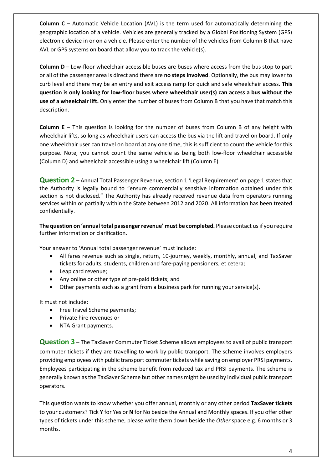**Column C** – Automatic Vehicle Location (AVL) is the term used for automatically determining the geographic location of a vehicle. Vehicles are generally tracked by a Global Positioning System (GPS) electronic device in or on a vehicle. Please enter the number of the vehicles from Column B that have AVL or GPS systems on board that allow you to track the vehicle(s).

**Column D** – Low-floor wheelchair accessible buses are buses where access from the bus stop to part or all of the passenger area is direct and there are **no steps involved**. Optionally, the bus may lower to curb level and there may be an entry and exit access ramp for quick and safe wheelchair access. **This question is only looking for low-floor buses where wheelchair user(s) can access a bus without the use of a wheelchair lift.** Only enter the number of buses from Column B that you have that match this description.

**Column E** – This question is looking for the number of buses from Column B of any height with wheelchair lifts, so long as wheelchair users can access the bus via the lift and travel on board. If only one wheelchair user can travel on board at any one time, this is sufficient to count the vehicle for this purpose. Note, you cannot count the same vehicle as being both low-floor wheelchair accessible (Column D) and wheelchair accessible using a wheelchair lift (Column E).

Question 2 - Annual Total Passenger Revenue, section 1 'Legal Requirement' on page 1 states that the Authority is legally bound to "ensure commercially sensitive information obtained under this section is not disclosed." The Authority has already received revenue data from operators running services within or partially within the State between 2012 and 2020. All information has been treated confidentially.

**The question on 'annual total passenger revenue' must be completed.** Please contact us if you require further information or clarification.

Your answer to 'Annual total passenger revenue' must include:

- All fares revenue such as single, return, 10-journey, weekly, monthly, annual, and TaxSaver tickets for adults, students, children and fare-paying pensioners, et cetera;
- Leap card revenue;
- Any online or other type of pre-paid tickets; and
- Other payments such as a grant from a business park for running your service(s).

It must not include:

- Free Travel Scheme payments:
- Private hire revenues or
- NTA Grant payments.

**Question 3** – The TaxSaver Commuter Ticket Scheme allows employees to avail of public transport commuter tickets if they are travelling to work by public transport. The scheme involves employers providing employees with public transport commuter tickets while saving on employer PRSI payments. Employees participating in the scheme benefit from reduced tax and PRSI payments. The scheme is generally known as the TaxSaver Scheme but other names might be used by individual public transport operators.

This question wants to know whether you offer annual, monthly or any other period **TaxSaver tickets**  to your customers? Tick **Y** for Yes or **N** for No beside the Annual and Monthly spaces. If you offer other types of tickets under this scheme, please write them down beside the *Other* space e.g. 6 months or 3 months.